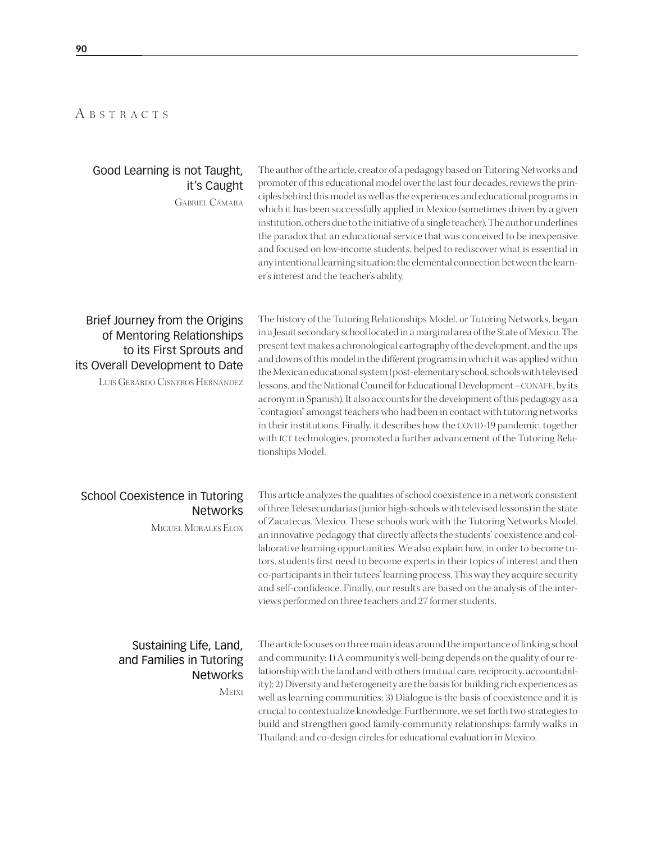#### A B S T R A C T S

#### Good Learning is not Taught, it's Caught

Gabriel Cámara

The author of the article, creator of a pedagogy based on Tutoring Networks and promoter of this educational model over the last four decades, reviews the principles behind this model as well as the experiences and educational programs in which it has been successfully applied in Mexico (sometimes driven by a given institution, others due to the initiative of a single teacher). The author underlines the paradox that an educational service that was conceived to be inexpensive and focused on low-income students, helped to rediscover what is essential in any intentional learning situation: the elemental connection between the learner's interest and the teacher's ability.

# Brief Journey from the Origins of Mentoring Relationships to its First Sprouts and its Overall Development to Date

Luis Gerardo Cisneros Hernández

The history of the Tutoring Relationships Model, or Tutoring Networks, began in a Jesuit secondary school located in a marginal area of the State of Mexico. The present text makes a chronological cartography of the development, and the ups and downs of this model in the different programs in which it was applied within the Mexican educational system (post-elementary school, schools with televised lessons, and the National Council for Educational Development –CONAFE, by its acronym in Spanish). It also accounts for the development of this pedagogy as a "contagion" amongst teachers who had been in contact with tutoring networks in their institutions. Finally, it describes how the COVID-19 pandemic, together with ICT technologies, promoted a further advancement of the Tutoring Relationships Model.

### School Coexistence in Tutoring **Networks**

Miguel Morales Elox

This article analyzes the qualities of school coexistence in a network consistent of three Telesecundarias (junior high-schools with televised lessons) in the state of Zacatecas, Mexico. These schools work with the Tutoring Networks Model, an innovative pedagogy that directly affects the students' coexistence and collaborative learning opportunities. We also explain how, in order to become tutors, students first need to become experts in their topics of interest and then co-participants in their tutees' learning process. This way they acquire security and self-confidence. Finally, our results are based on the analysis of the interviews performed on three teachers and 27 former students.

#### Sustaining Life, Land, and Families in Tutoring **Networks**

Meixi

The article focuses on three main ideas around the importance of linking school and community: 1) A community's well-being depends on the quality of our relationship with the land and with others (mutual care, reciprocity, accountability); 2) Diversity and heterogeneity are the basis for building rich experiences as well as learning communities; 3) Dialogue is the basis of coexistence and it is crucial to contextualize knowledge. Furthermore, we set forth two strategies to build and strengthen good family-community relationships: family walks in Thailand; and co-design circles for educational evaluation in Mexico.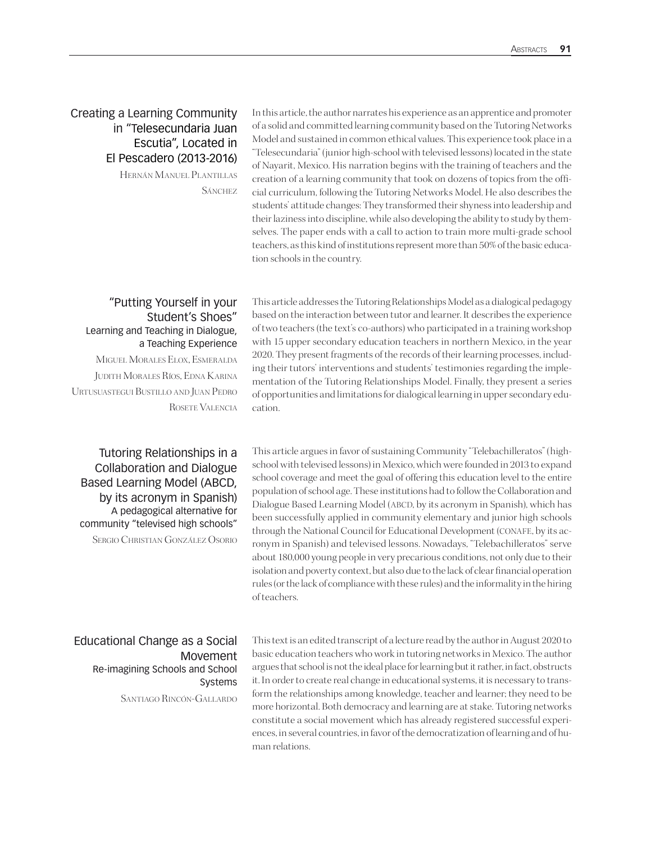### Creating a Learning Community in "Telesecundaria Juan Escutia", Located in El Pescadero (2013-2016)

Hernán Manuel Plantillas **SÁNCHEZ** 

In this article, the author narrates his experience as an apprentice and promoter of a solid and committed learning community based on the Tutoring Networks Model and sustained in common ethical values. This experience took place in a "Telesecundaria" (junior high-school with televised lessons) located in the state of Nayarit, Mexico. His narration begins with the training of teachers and the creation of a learning community that took on dozens of topics from the official curriculum, following the Tutoring Networks Model. He also describes the students' attitude changes: They transformed their shyness into leadership and their laziness into discipline, while also developing the ability to study by themselves. The paper ends with a call to action to train more multi-grade school teachers, as this kind of institutions represent more than 50% of the basic education schools in the country.

#### "Putting Yourself in your Student's Shoes" Learning and Teaching in Dialogue, a Teaching Experience Miguel Morales Elox, Esmeralda

Judith Morales Ríos, Edna Karina Urtusuastegui Bustillo and Juan Pedro Rosete Valencia

Tutoring Relationships in a Collaboration and Dialogue Based Learning Model (ABCD, by its acronym in Spanish) A pedagogical alternative for community "televised high schools"

Sergio Christian González Osorio

This article addresses the Tutoring Relationships Model as a dialogical pedagogy based on the interaction between tutor and learner. It describes the experience of two teachers (the text's co-authors) who participated in a training workshop with 15 upper secondary education teachers in northern Mexico, in the year 2020. They present fragments of the records of their learning processes, including their tutors' interventions and students' testimonies regarding the implementation of the Tutoring Relationships Model. Finally, they present a series of opportunities and limitations for dialogical learning in upper secondary education.

This article argues in favor of sustaining Community "Telebachilleratos" (highschool with televised lessons) in Mexico, which were founded in 2013 to expand school coverage and meet the goal of offering this education level to the entire population of school age. These institutions had to follow the Collaboration and Dialogue Based Learning Model (ABCD, by its acronym in Spanish), which has been successfully applied in community elementary and junior high schools through the National Council for Educational Development (CONAFE, by its acronym in Spanish) and televised lessons. Nowadays, "Telebachilleratos" serve about 180,000 young people in very precarious conditions, not only due to their isolation and poverty context, but also due to the lack of clear financial operation rules (or the lack of compliance with these rules) and the informality in the hiring of teachers.

Educational Change as a Social Movement Re-imagining Schools and School Systems

Santiago Rincón-Gallardo

This text is an edited transcript of a lecture read by the author in August 2020 to basic education teachers who work in tutoring networks in Mexico. The author argues that school is not the ideal place for learning but it rather, in fact, obstructs it. In order to create real change in educational systems, it is necessary to transform the relationships among knowledge, teacher and learner; they need to be more horizontal. Both democracy and learning are at stake. Tutoring networks constitute a social movement which has already registered successful experiences, in several countries, in favor of the democratization of learning and of human relations.